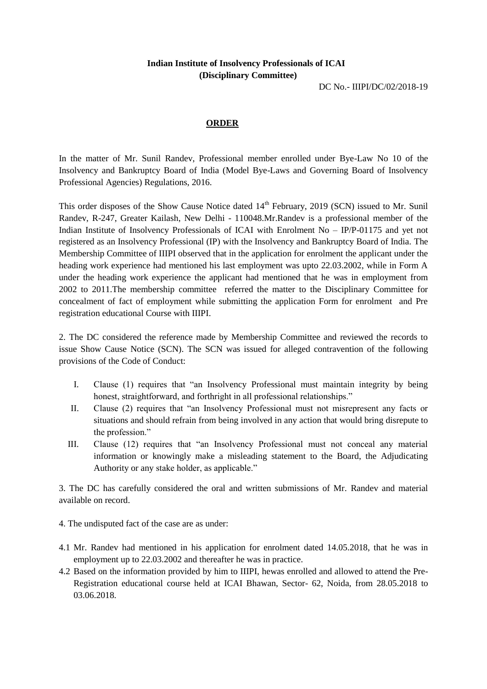## **Indian Institute of Insolvency Professionals of ICAI (Disciplinary Committee)**

DC No.- IIIPI/DC/02/2018-19

## **ORDER**

In the matter of Mr. Sunil Randev, Professional member enrolled under Bye-Law No 10 of the Insolvency and Bankruptcy Board of India (Model Bye-Laws and Governing Board of Insolvency Professional Agencies) Regulations, 2016.

This order disposes of the Show Cause Notice dated 14<sup>th</sup> February, 2019 (SCN) issued to Mr. Sunil Randev, R-247, Greater Kailash, New Delhi - 110048.Mr.Randev is a professional member of the Indian Institute of Insolvency Professionals of ICAI with Enrolment No – IP/P-01175 and yet not registered as an Insolvency Professional (IP) with the Insolvency and Bankruptcy Board of India. The Membership Committee of IIIPI observed that in the application for enrolment the applicant under the heading work experience had mentioned his last employment was upto 22.03.2002, while in Form A under the heading work experience the applicant had mentioned that he was in employment from 2002 to 2011.The membership committee referred the matter to the Disciplinary Committee for concealment of fact of employment while submitting the application Form for enrolment and Pre registration educational Course with IIIPI.

2. The DC considered the reference made by Membership Committee and reviewed the records to issue Show Cause Notice (SCN). The SCN was issued for alleged contravention of the following provisions of the Code of Conduct:

- I. Clause (1) requires that "an Insolvency Professional must maintain integrity by being honest, straightforward, and forthright in all professional relationships."
- II. Clause (2) requires that "an Insolvency Professional must not misrepresent any facts or situations and should refrain from being involved in any action that would bring disrepute to the profession."
- III. Clause (12) requires that "an Insolvency Professional must not conceal any material information or knowingly make a misleading statement to the Board, the Adjudicating Authority or any stake holder, as applicable."

3. The DC has carefully considered the oral and written submissions of Mr. Randev and material available on record.

- 4. The undisputed fact of the case are as under:
- 4.1 Mr. Randev had mentioned in his application for enrolment dated 14.05.2018, that he was in employment up to 22.03.2002 and thereafter he was in practice.
- 4.2 Based on the information provided by him to IIIPI, hewas enrolled and allowed to attend the Pre-Registration educational course held at ICAI Bhawan, Sector- 62, Noida, from 28.05.2018 to 03.06.2018.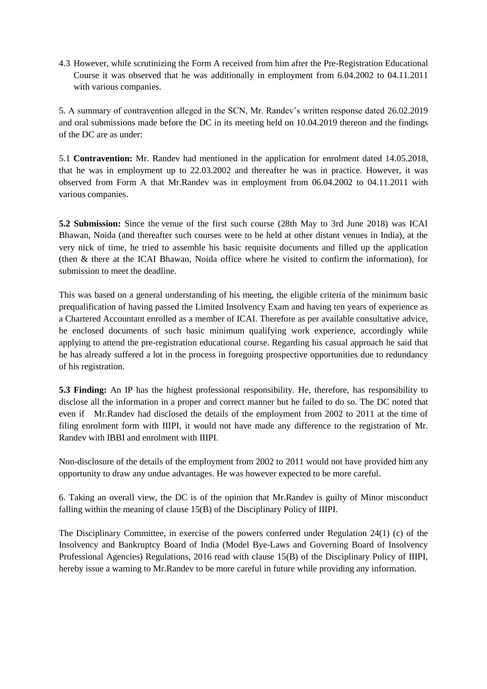4.3 However, while scrutinizing the Form A received from him after the Pre-Registration Educational Course it was observed that he was additionally in employment from 6.04.2002 to 04.11.2011 with various companies.

5. A summary of contravention alleged in the SCN, Mr. Randev's written response dated 26.02.2019 and oral submissions made before the DC in its meeting held on 10.04.2019 thereon and the findings of the DC are as under:

5.1 **Contravention:** Mr. Randev had mentioned in the application for enrolment dated 14.05.2018, that he was in employment up to 22.03.2002 and thereafter he was in practice. However, it was observed from Form A that Mr.Randev was in employment from 06.04.2002 to 04.11.2011 with various companies.

**5.2 Submission:** Since the venue of the first such course (28th May to 3rd June 2018) was ICAI Bhawan, Noida (and thereafter such courses were to be held at other distant venues in India), at the very nick of time, he tried to assemble his basic requisite documents and filled up the application (then & there at the ICAI Bhawan, Noida office where he visited to confirm the information), for submission to meet the deadline.

This was based on a general understanding of his meeting, the eligible criteria of the minimum basic prequalification of having passed the Limited Insolvency Exam and having ten years of experience as a Chartered Accountant enrolled as a member of ICAI. Therefore as per available consultative advice, he enclosed documents of such basic minimum qualifying work experience, accordingly while applying to attend the pre-registration educational course. Regarding his casual approach he said that he has already suffered a lot in the process in foregoing prospective opportunities due to redundancy of his registration.

**5.3 Finding:** An IP has the highest professional responsibility. He, therefore, has responsibility to disclose all the information in a proper and correct manner but he failed to do so. The DC noted that even if Mr.Randev had disclosed the details of the employment from 2002 to 2011 at the time of filing enrolment form with IIIPI, it would not have made any difference to the registration of Mr. Randev with IBBI and enrolment with IIIPI.

Non-disclosure of the details of the employment from 2002 to 2011 would not have provided him any opportunity to draw any undue advantages. He was however expected to be more careful.

6. Taking an overall view, the DC is of the opinion that Mr.Randev is guilty of Minor misconduct falling within the meaning of clause 15(B) of the Disciplinary Policy of IIIPI.

The Disciplinary Committee, in exercise of the powers conferred under Regulation 24(1) (c) of the Insolvency and Bankruptcy Board of India (Model Bye-Laws and Governing Board of Insolvency Professional Agencies) Regulations, 2016 read with clause 15(B) of the Disciplinary Policy of IIIPI, hereby issue a warning to Mr.Randev to be more careful in future while providing any information.